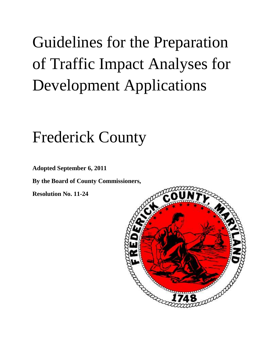# Guidelines for the Preparation of Traffic Impact Analyses for Development Applications

## Frederick County

**Adopted September 6, 2011**

**By the Board of County Commissioners,**

**Resolution No. 11-24**

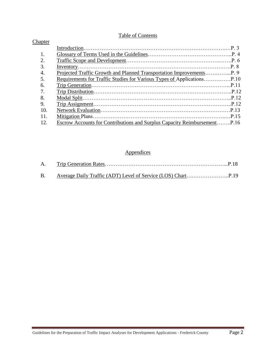#### Table of Contents

| Chapter |  |
|---------|--|
|         |  |
| 1.      |  |
| 2.      |  |
| 3.      |  |
| 4.      |  |
| 5.      |  |
| 6.      |  |
| 7.      |  |
| 8.      |  |
| 9.      |  |
| 10.     |  |
| 11.     |  |
| 12.     |  |
|         |  |

### **Appendices**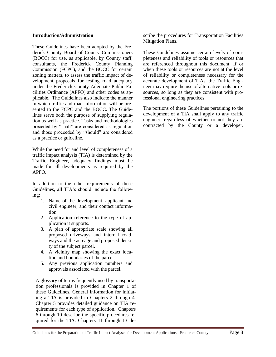#### **Introduction/Administration**

These Guidelines have been adopted by the Frederick County Board of County Commissioners (BOCC) for use, as applicable, by County staff, consultants, the Frederick County Planning Commission (FCPC), and the BOCC for certain zoning matters, to assess the traffic impact of development proposals for testing road adequacy under the Frederick County Adequate Public Facilities Ordinance (APFO) and other codes as applicable. The Guidelines also indicate the manner in which traffic and road information will be presented to the FCPC and the BOCC. The Guidelines serve both the purpose of supplying regulation as well as practice. Tasks and methodologies preceded by "shall" are considered as regulation and those proceeded by "should" are considered as a practice or guideline.

While the need for and level of completeness of a traffic impact analysis (TIA) is determined by the Traffic Engineer, adequacy findings must be made for all developments as required by the APFO.

In addition to the other requirements of these Guidelines, all TIA's should include the following:

- 1. Name of the development, applicant and civil engineer, and their contact information.
- 2. Application reference to the type of application it supports.
- 3. A plan of appropriate scale showing all proposed driveways and internal roadways and the acreage and proposed density of the subject parcel.
- 4. A vicinity map showing the exact location and boundaries of the parcel.
- 5. Any previous application numbers and approvals associated with the parcel.

A glossary of terms frequently used by transportation professionals is provided in Chapter 1 of these Guidelines. General information for initiating a TIA is provided in Chapters 2 through 4. Chapter 5 provides detailed guidance on TIA requirements for each type of application. Chapters 6 through 10 describe the specific procedures required for the TIA. Chapters 11 through 13 describe the procedures for Transportation Facilities Mitigation Plans.

These Guidelines assume certain levels of completeness and reliability of tools or resources that are referenced throughout this document. If or when these tools or resources are not at the level of reliability or completeness necessary for the accurate development of TIAs, the Traffic Engineer may require the use of alternative tools or resources, so long as they are consistent with professional engineering practices.

The portions of these Guidelines pertaining to the development of a TIA shall apply to any traffic engineer, regardless of whether or not they are contracted by the County or a developer.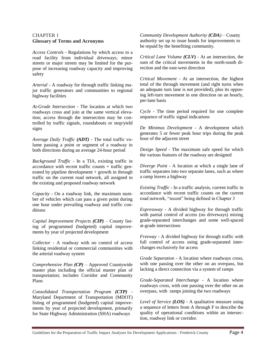#### CHAPTER 1 **Glossary of Terms and Acronyms**

*Access Controls* - Regulations by which access to a road facility from individual driveways, minor streets or major streets may be limited for the purpose of increasing roadway capacity and improving safety

*Arterial* - A roadway for through traffic linking major traffic generators and communities to regional highway facilities

*At-Grade Intersection* - The location at which two roadways cross and join at the same vertical elevation; access through the intersection may be controlled by traffic signals, roundabouts or stop/yield signs

*Average Daily Traffic (ADT)* - The total traffic volume passing a point or segment of a roadway in both directions during an average 24-hour period

*Background Traffic* - In a TIA, existing traffic in  $accordance$  with recent traffic counts + traffic generated by pipeline development + growth in through traffic on the current road network, all assigned to the existing and proposed roadway network

*Capacity* - On a roadway link, the maximum number of vehicles which can pass a given point during one hour under prevailing roadway and traffic conditions

*Capital Improvement Projects (CIP)* – County listing of programmed (budgeted) capital improvements by year of projected development

*Collector* - A roadway with no control of access linking residential or commercial communities with the arterial roadway system

*Comprehensive Plan (CP)* – Approved Countywide master plan including the official master plan of transportation; includes Corridor and Community Plans

*Consolidated Transportation Program (CTP)* - Maryland Department of Transportation (MDOT) listing of programmed (budgeted) capital improvements by year of projected development, primarily for State Highway Administration (SHA) roadways

*Community Development Authority (CDA)* – County authority set up to issue bonds for improvements to be repaid by the benefiting community.

*Critical Lane Volume (CLV***)** - At an intersection, the sum of the critical movements in the north-south direction and the east-west direction

*Critical Movement* - At an intersection, the highest total of the through movement (and right turns when an adequate turn lane is not provided), plus its opposing left-turn movement in one direction on an hourly, per-lane basis

*Cycle* - The time period required for one complete sequence of traffic signal indications

*De Minimus Development* - A development which generates 5 or fewer peak hour trips during the peak hour of the adjacent street

*Design Speed* - The maximum safe speed for which the various features of the roadway are designed

*Diverge Point* - A location at which a single lane of traffic separates into two separate lanes, such as where a ramp leaves a highway

*Existing Traffic* - In a traffic analysis, current traffic in accordance with recent traffic counts on the current road network, "recent" being defined in Chapter 3

*Expressway* - A divided highway for through traffic with partial control of access (no driveways) mixing grade-separated interchanges and some well-spaced at-grade intersections

*Freeway* - A divided highway for through traffic with full control of access using grade-separated interchanges exclusively for access

*Grade Separation* - A location where roadways cross, with one passing over the other on an overpass, but lacking a direct connection via a system of ramps

*Grade-Separated Interchange* - A location where roadways cross, with one passing over the other on an overpass, with ramps joining the two roadways

*Level of Service (LOS)* - A qualitative measure using a sequence of letters from A through F to describe the quality of operational conditions within an intersection, roadway link or corridor.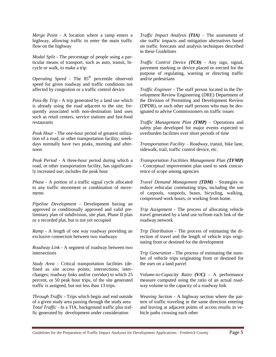*Merge Point* - A location where a ramp enters a highway, allowing traffic to enter the main traffic flow on the highway

*Modal Split* - The percentage of people using a particular means of transport, such as auto, transit, bicycle or walk, to make a trip

*Operating Speed* - The 85<sup>th</sup> percentile observed speed for given roadway and traffic conditions not affected by congestion or a traffic control device

*Pass-By Trip* - A trip generated by a land use which is already using the road adjacent to the site; frequently associated with non-destination land uses such as retail centers, service stations and fast-food restaurants

*Peak Hour* - The one-hour period of greatest utilization of a road, or other transportation facility; weekdays normally have two peaks, morning and afternoon

*Peak Period* - A three-hour period during which a road, or other transportation facility, has significantly increased use; includes the peak hour

*Phase* - A portion of a traffic signal cycle allocated to any traffic movement or combination of movements

*Pipeline Development* - Development having an approved or conditionally approved and valid preliminary plan of subdivision, site plan, Phase II plan or a recorded plat, but is not yet occupied

*Ramp* - A length of one way roadway providing an exclusive connection between two roadways

*Roadway Link* - A segment of roadway between two intersections

*Study Area -* Critical transportation facilities (defined as site access points; intersections; interchanges; roadway links and/or corridor) to which 25 percent, or 50 peak hour trips, of the site generated traffic is assigned, but not less than 13 trips.

*Through Traffic* - Trips which begin and end outside of a given study area passing through the study area *Total Traffic* - In a TIA, background traffic plus traffic generated by development under consideration

*Traffic Impact Analysis (TIA)* – The assessment of site traffic impacts and mitigation alternatives based on traffic forecasts and analysis techniques described in these Guidelines

*Traffic Control Device (TCD)* - Any sign, signal, pavement marking or device placed or erected for the purpose of regulating, warning or directing traffic and/or pedestrians

*Traffic Engineer* - The staff person located in the Development Review Engineering (DRE) Department of the Division of Permitting and Development Review (DPDR), or such other staff persons who may be designated to advise Commissioners on traffic issues

*Traffic Management Plan (TMP)* – Operations and safety plan developed for major events expected to overburden facilities over short periods of time

*Transportation Facility* – Roadway, transit, bike lane, sidewalk, trail, traffic control device, etc.

*Transportation Facilities Management Plan (TFMP)* - Conceptual improvement plan used to seek concurrence of scope among agencies

*Travel Demand Management (TDM)* - Strategies to reduce vehicular commuting trips**,** including the use of carpools, vanpools, buses, bicycling, walking, compressed work hours, or working from home.

*Trip Assignment* - The process of allocating vehicle travel generated by a land use to/from each link of the roadway network

*Trip Distribution* - The process of estimating the direction of travel and the length of vehicle trips originating from or destined for the development

*Trip Generation* - The process of estimating the number of vehicle trips originating from or destined for the uses on a land parcel

*Volume-to-Capacity Ratio (V/C)* - A performance measure computed using the ratio of an actual roadway volume to the capacity of a roadway link

*Weaving Section* - A highway section where the pattern of traffic traveling in the same direction entering and leaving at adjacent points of access results in vehicle paths crossing each other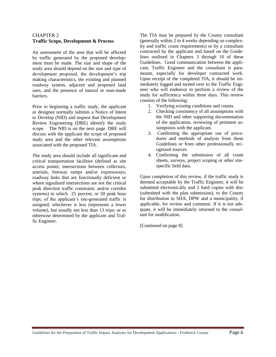#### CHAPTER 2 **Traffic Scope, Development & Process**

An assessment of the area that will be affected by traffic generated by the proposed development must be made. The size and shape of the study area should depend on the size and type of development proposed, the development's trip making characteristics, the existing and planned roadway system, adjacent and proposed land uses, and the presence of natural or man-made barriers.

Prior to beginning a traffic study, the applicant or designee normally submits a Notice of Intent to Develop (NID) and request that Development Review Engineering (DRE) identify the study scope. The NID is on the next page. DRE will discuss with the applicant the scope of proposed study area and the other relevant assumptions associated with the proposed TIA.

The study area should include all significant and critical transportation facilities (defined as site access points; intersections between collectors, arterials, freeway ramps and/or expressways; roadway links that are functionally deficient or where signalized intersections are not the critical peak direction traffic constraint; and/or corridor systems) to which 25 percent, or 50 peak hour trips, of the applicant's site-generated traffic is assigned, whichever is less (represents a lower volume), but usually not less than 13 trips; or as otherwise determined by the applicant and Traffic Engineer.

The TIA may be prepared by the County consultant (generally within 2 to 4 weeks depending on complexity and traffic count requirements) or by a consultant contracted by the applicant and based on the Guidelines outlined in Chapters 3 through 10 of these Guidelines. Good communication between the applicant, Traffic Engineer and the consultant is paramount, especially for developer contracted work. Upon receipt of the completed TIA, it should be immediately logged and turned over to the Traffic Engineer who will endeavor to perform a review of the study for sufficiency within three days. This review consists of the following:

- 1. Verifying existing conditions and counts.
- 2. Checking consistency of all assumptions with the NID and other supporting documentation of the application, reviewing of pertinent assumptions with the applicant.
- 3. Confirming the appropriate use of procedures and methods of analysis from these Guidelines or from other professionally recognized sources.
- 4. Confirming the submission of all count sheets, surveys, project scoping or other sitespecific field data.

Upon completion of this review, if the traffic study is deemed acceptable by the Traffic Engineer, it will be submitted electronically and 2 hard copies with disc (submitted with the plan submission), to the County for distribution to SHA, DPW and a municipality, if applicable, for review and comment. If it is not adequate, it will be immediately returned to the consultant for modification.

[Continued on page 8]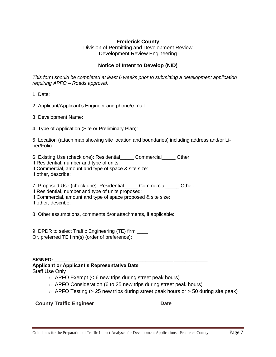#### **Frederick County**

Division of Permitting and Development Review Development Review Engineering

#### **Notice of Intent to Develop (NID)**

*This form should be completed at least 6 weeks prior to submitting a development application requiring APFO – Roads approval.* 

1. Date:

2. Applicant/Applicant's Engineer and phone/e-mail:

3. Development Name:

4. Type of Application (Site or Preliminary Plan):

5. Location (attach map showing site location and boundaries) including address and/or Liber/Folio:

6. Existing Use (check one): Residential Commercial Other:

If Residential, number and type of units:

If Commercial, amount and type of space & site size:

If other, describe:

7. Proposed Use (check one): Residential Commercial Other:

If Residential, number and type of units proposed:

If Commercial, amount and type of space proposed & site size: If other, describe:

8. Other assumptions, comments &/or attachments, if applicable:

9. DPDR to select Traffic Engineering (TE) firm Or, preferred TE firm(s) (order of preference):

#### $SIGNED:$

## **Applicant or Applicant's Representative Date**

Staff Use Only

- $\circ$  APFO Exempt (< 6 new trips during street peak hours)
- $\circ$  APFO Consideration (6 to 25 new trips during street peak hours)
- $\circ$  APFO Testing (> 25 new trips during street peak hours or > 50 during site peak)

**County Traffic Engineer County Traffic Engineer County Date**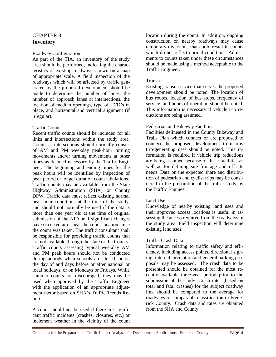#### CHAPTER 3 **Inventory**

#### Roadway Configuration

As part of the TIA, an inventory of the study area should be performed, indicating the characteristics of existing roadways, shown on a map of appropriate scale. A field inspection of the roadways which will be affected by traffic generated by the proposed development should be made to determine the number of lanes, the number of approach lanes at intersections, the location of median openings, type of TCD's in place, and horizontal and vertical alignment (if irregular).

#### Traffic Counts

Recent traffic counts should be included for all links and intersections within the study area. Counts at intersections should normally consist of AM and PM weekday peak-hour turning movements and/or turning movements at other times as deemed necessary by the Traffic Engineer. The beginning and ending times for the peak hours will be identified by inspection of peak period or longer duration count tabulations. Traffic counts may be available from the State Highway Administration (SHA) or County DPW. Traffic data must reflect existing normal peak-hour conditions at the time of the study, and should not normally be used if the data is more than one year old at the time of original submission of the NID or if significant changes have occurred at or near the count location since the count was taken. The traffic consultant shall be responsible for providing traffic counts that are not available through the state or the County. Traffic counts assessing typical weekday AM and PM peak hours should not be conducted during periods when schools are closed, or on the day of and days before or after national or local holidays, or on Mondays or Fridays. While summer counts are discouraged, they may be used when approved by the Traffic Engineer with the application of an appropriate adjustment factor based on SHA's Traffic Trends Report.

A count should not be used if there are significant traffic incidents (crashes, closures, etc.) or inclement weather in the vicinity of the count location during the count. In addition, ongoing construction on nearby roadways may cause temporary diversions that could result in counts which do not reflect normal conditions. Adjustments to counts taken under these circumstances should be made using a method acceptable to the Traffic Engineer.

#### Transit

Existing transit service that serves the proposed development should be noted. The location of bus routes, location of bus stops, frequency of service, and hours of operation should be noted. This information is necessary if vehicle trip reductions are being assumed.

#### Pedestrian and Bikeway Facilities

Facilities delineated in the County Bikeway and Trails Plan which connect or are proposed to connect the proposed development to nearby trip-generating uses should be noted. This information is required if vehicle trip reductions are being assumed because of these facilities as well as for defining site frontage and off-site needs. Data on the expected share and distribution of pedestrian and cyclist trips may be considered in the preparation of the traffic study by the Traffic Engineer.

#### Land Use

Knowledge of nearby existing land uses and their approved access locations is useful in assessing the access required from the roadways in the study area. Field inspection will determine existing land uses.

#### Traffic Crash Data

Information relating to traffic safety and efficiency, including access points, directional signing, internal circulation and general parking proposals may be assessed. The crash data to be presented should be obtained for the most recently available three-year period prior to the submission of the study. Crash rates (based on total and fatal crashes) for the subject roadway link should be compared to the average for roadways of comparable classification in Frederick County. Crash data and rates are obtained from the SHA and County.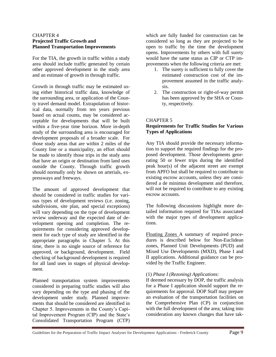#### CHAPTER 4 **Projected Traffic Growth and Planned Transportation Improvements**

For the TIA, the growth in traffic within a study area should include traffic generated by certain other approved development in the study area and an estimate of growth in through traffic.

Growth in through traffic may be estimated using either historical traffic data, knowledge of the surrounding area, or application of the County travel demand model. Extrapolation of historical data, normally from ten years previous based on actual counts, may be considered acceptable for developments that will be built within a five-year time horizon. More in-depth study of the surrounding area is encouraged for development proposals of a broader scale. For those study areas that are within 2 miles of the County line or a municipality, an effort should be made to identify those trips in the study area that have an origin or destination from land uses outside the County. Through traffic growth should normally only be shown on arterials, expressways and freeways.

The amount of approved development that should be considered in traffic studies for various types of development reviews (i.e. zoning, subdivisions, site plan, and special exceptions) will vary depending on the type of development review underway and the expected date of development opening and completion. The requirements for considering approved development for each type of study are identified in the appropriate paragraphs in Chapter 5. At this time, there is no single source of reference for approved, or background, development. Field checking of background development is required for all land uses in stages of physical development.

Planned transportation system improvements considered in preparing traffic studies will also vary depending on the type and phasing of the development under study. Planned improvements that should be considered are identified in Chapter 5. Improvements in the County's Capital Improvement Program (CIP) and the State's Consolidated Transportation Program (CTP)

which are fully funded for construction can be considered so long as they are projected to be open to traffic by the time the development opens. Improvements by others with full surety would have the same status as CIP or CTP improvements when the following criteria are met:

- 1. The surety is sufficient to fully cover the estimated construction cost of the improvement assumed in the traffic analysis.
- 2. The construction or right-of-way permit has been approved by the SHA or County, respectively.

#### CHAPTER 5

#### **Requirements for Traffic Studies for Various Types of Applications**

Any TIA should provide the necessary information to support the required findings for the proposed development. Those developments generating 50 or fewer trips during the identified peak hour(s) of the adjacent street are exempt from APFO but shall be required to contribute to existing escrow accounts, unless they are considered a de minimus development and therefore, will not be required to contribute to any existing escrow accounts.

The following discussions highlight more detailed information required for TIAs associated with the major types of development applications.

Floating Zones A summary of required procedures is described below for Non-Euclidean zones, Planned Unit Developments (PUD) and Mixed Use Developments (MXD), Phase I and II applications. Additional guidance can be provided by the Traffic Engineer.

#### (1) *Phase I (Rezoning) Applications*:

If deemed necessary by DOP, the traffic analysis for a Phase I application should support the requirements for approval. DOP Staff may prepare an evaluation of the transportation facilities on the Comprehensive Plan (CP) in conjunction with the full development of the area; taking into consideration any known changes that have tak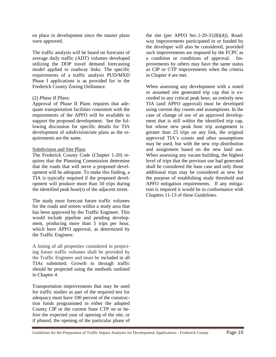en place in development since the master plans were approved.

The traffic analysis will be based on forecasts of average daily traffic (ADT) volumes developed utilizing the DOP travel demand forecasting model applied to roadway links. The specific requirements of a traffic analysis PUD/MXD Phase I applications is as provided for in the Frederick County Zoning Ordinance.

#### (2) *Phase II Plans*:

Approval of Phase II Plans requires that adequate transportation facilities consistent with the requirements of the APFO will be available to support the proposed development. See the following discussion for specific details for TIA development of subdivision/site plans as the requirements are the same.

#### Subdivision and Site Plans

The Frederick County Code (Chapter 1-20) requires that the Planning Commission determine that the roads that will serve a proposed development will be adequate. To make this finding, a TIA is typically required if the proposed development will produce more than 50 trips during the identified peak hour(s) of the adjacent street.

The study must forecast future traffic volumes for the roads and streets within a study area that has been approved by the Traffic Engineer. This would include pipeline and pending development, producing more than 5 trips per hour, which have APFO approval, as determined by the Traffic Engineer.

A listing of all properties considered in projecting future traffic volumes shall be provided by the Traffic Engineer and must be included in all TIAs submitted. Growth in through traffic should be projected using the methods outlined in Chapter 4.

Transportation improvements that may be used for traffic studies as part of the required test for adequacy must have 100 percent of the construction funds programmed in either the adopted County CIP or the current State CTP on or before the expected year of opening of the site, or if phased, the opening of the particular phase of

the site (per APFO Sec.1-20-31 $(B)(4)$ ). Roadway improvements participated in or funded by the developer will also be considered, provided such improvements are imposed by the FCPC as a condition or conditions of approval. Improvements by others may have the same status as CIP or CTP improvements when the criteria in Chapter 4 are met.

When assessing any development with a noted or assumed site generated trip cap that is exceeded in any critical peak hour, an entirely new TIA (and APFO approval) must be developed using current day counts and assumptions. In the case of change of use of an approved development that is still within the identified trip cap, but whose new peak hour trip assignment is greater than 25 trips on any link, the original approved TIA's counts and other assumptions may be used, but with the new trip distribution and assignment based on the new land use. When assessing any vacant building, the highest level of trips that the previous use had generated shall be considered the base case and only those additional trips may be considered as new for the purpose of establishing study threshold and APFO mitigation requirements. If any mitigation is required it would be in conformance with Chapters 11-13 of these Guidelines.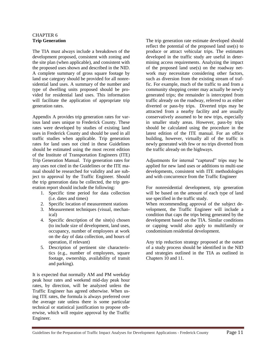#### CHAPTER 6 **Trip Generation**

The TIA must always include a breakdown of the development proposed, consistent with zoning and the site plan (when applicable), and consistent with the proposed uses shown and described in the NID. A complete summary of gross square footage by land use category should be provided for all nonresidential land uses. A summary of the number and type of dwelling units proposed should be provided for residential land uses. This information will facilitate the application of appropriate trip generation rates.

Appendix A provides trip generation rates for various land uses unique to Frederick County. These rates were developed by studies of existing land uses in Frederick County and should be used in all traffic studies when applicable. Trip generation rates for land uses not cited in these Guidelines should be estimated using the most recent edition of the Institute of Transportation Engineers (ITE) Trip Generation Manual. Trip generation rates for any uses not cited in the Guidelines or the ITE manual should be researched for validity and are subject to approval by the Traffic Engineer. Should the trip generation data be collected, the trip generation report should include the following:

- 1. Specific time period for data collection (i.e. dates and times)
- 2. Specific location of measurement stations
- 3. Measurement techniques (visual, mechanical)
- 4. Specific description of the site(s) chosen (to include size of development, land uses, occupancy, number of employees at work on the day of data collection, and hours of operation, if relevant)
- 5. Description of pertinent site characteristics (e.g., number of employees, square footage, ownership, availability of transit and parking).

It is expected that normally AM and PM weekday peak hour rates and weekend mid-day peak hour rates, by direction, will be analyzed unless the Traffic Engineer has agreed otherwise. When using ITE rates, the formula is always preferred over the average rate unless there is some particular technical or statistical justification to propose otherwise, which will require approval by the Traffic Engineer.

The trip generation rate estimate developed should reflect the potential of the proposed land use(s) to produce or attract vehicular trips. The estimates developed in the traffic study are useful in determining access requirements. Analyzing the impact of the proposed land use(s) on the roadway network may necessitate considering other factors, such as diversion from the existing stream of traffic. For example, much of the traffic to and from a community shopping center may actually be newly generated trips; the remainder is intercepted from traffic already on the roadway, referred to as either diverted or pass-by trips. Diverted trips may be attracted from a nearby facility and are usually conservatively assumed to be new trips, especially in smaller study areas. However, pass-by trips should be calculated using the procedure in the latest edition of the ITE manual. For an office building, however, virtually all of the traffic is newly generated with few or no trips diverted from the traffic already on the highways.

Adjustments for internal "captured" trips may be applied for new land uses or additions to multi-use developments, consistent with ITE methodologies and with concurrence from the Traffic Engineer

For nonresidential development, trip generation will be based on the amount of each type of land use specified in the traffic study.

When recommending approval of the subject development, the Traffic Engineer will include a condition that caps the trips being generated by the development based on the TIA. Similar conditions or capping would also apply to multifamily or condominium residential development.

Any trip reduction strategy proposed at the outset of a study process should be identified in the NID and strategies outlined in the TIA as outlined in Chapters 10 and 11.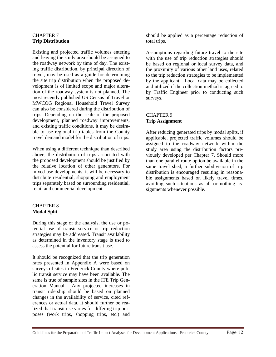#### CHAPTER 7 **Trip Distribution**

Existing and projected traffic volumes entering and leaving the study area should be assigned to the roadway network by time of day. The existing traffic distribution, by principal direction of travel, may be used as a guide for determining the site trip distribution when the proposed development is of limited scope and major alteration of the roadway system is not planned. The most recently published US Census of Travel or MWCOG Regional Household Travel Survey can also be considered during the distribution of trips. Depending on the scale of the proposed development, planned roadway improvements, and existing traffic conditions, it may be desirable to use regional trip tables from the County travel demand model for the distribution of trips.

When using a different technique than described above, the distribution of trips associated with the proposed development should be justified by the relative location of other generators. For mixed-use developments, it will be necessary to distribute residential, shopping and employment trips separately based on surrounding residential, retail and commercial development.

#### CHAPTER 8 **Modal Split**

During this stage of the analysis, the use or potential use of transit service or trip reduction strategies may be addressed. Transit availability as determined in the inventory stage is used to assess the potential for future transit use.

It should be recognized that the trip generation rates presented in Appendix A were based on surveys of sites in Frederick County where public transit service may have been available. The same is true of sample sites in the ITE Trip Generation Manual. Any projected increases in transit ridership should be based on planned changes in the availability of service, cited references or actual data. It should further be realized that transit use varies for differing trip purposes (work trips, shopping trips, etc.) and

should be applied as a percentage reduction of total trips.

Assumptions regarding future travel to the site with the use of trip reduction strategies should be based on regional or local survey data, and the proximity of various other land uses, related to the trip reduction strategies to be implemented by the applicant. Local data may be collected and utilized if the collection method is agreed to by Traffic Engineer prior to conducting such surveys.

#### CHAPTER 9 **Trip Assignment**

After reducing generated trips by modal splits, if applicable, projected traffic volumes should be assigned to the roadway network within the study area using the distribution factors previously developed per Chapter 7. Should more than one parallel route option be available in the same travel shed, a further subdivision of trip distribution is encouraged resulting in reasonable assignments based on likely travel times, avoiding such situations as all or nothing assignments whenever possible.

Guidelines for the Preparation of Traffic Impact Analyses for Development Applications - Frederick County Page 12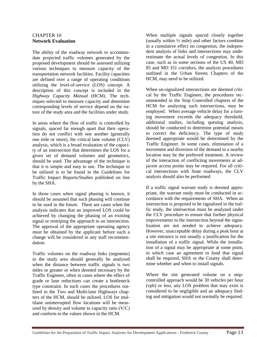#### CHAPTER 10 **Network Evaluation**

The ability of the roadway network to accommodate projected traffic volumes generated by the proposed development should be assessed utilizing various techniques to measure capacity of the transportation network facilities. Facility capacities are defined over a range of operating conditions utilizing the level-of-service (LOS) concept. A description of this concept is included in the *Highway Capacity Manual* (HCM). The techniques selected to measure capacity and determine corresponding levels of service depend on the nature of the study area and the facilities under study.

In areas where the flow of traffic is controlled by signals, spaced far enough apart that their operation do not conflict with one another (generally one mile or more), the critical lane volume (CLV) analysis, which is a broad evaluation of the capacity of an intersection that determines the LOS for a given set of demand volumes and geometrics, should be used. The advantage of the technique is that it is simple and easy to use. The technique to be utilized is to be found in the Guidelines for Traffic Impact Reports/Studies published on line by the SHA.

In those cases when signal phasing is known, it should be assumed that such phasing will continue to be used in the future. There are cases when the analysis indicates that an improved LOS could be achieved by changing the phasing of an existing signal or restriping the approach to an intersection. The approval of the appropriate operating agency must be obtained by the applicant before such a change will be considered in any staff recommendation.

Traffic volumes on the roadway links (segments) in the study area should generally be analyzed when the distance between traffic signals is two miles or greater or when deemed necessary by the Traffic Engineer, often in cases where the effect of grade or lane reductions can create a bottleneck type constraint. In such cases the procedures outlined in the Two and Multi-lane Highways chapters of the HCM, should be utilized. LOS for multilane uninterrupted flow locations will be measured by density and volume to capacity ratio (V/C) and conform to the values shown in the HCM.

When multiple signals spaced closely together (usually within  $\frac{1}{2}$  mile) and other factors combine in a cumulative effect on congestion, the independent analysis of links and intersections may underestimate the actual levels of congestion. In this case, such as in some sections of the US 40, MD 85 and MD 351 corridors, the analysis procedures outlined in the Urban Streets Chapters of the HCM, may need to be utilized*.*

When un-signalized intersections are deemed critical by the Traffic Engineer, the procedures recommended in the Stop Controlled chapters of the HCM for analyzing such intersections, may be employed. When average vehicle delay for a turning movement exceeds the adequacy threshold, additional studies, including queuing analysis, should be conducted to determine potential means to correct the deficiency. The type of study deemed appropriate would be determined by the Traffic Engineer. In some cases, elimination of a movement and diversion of the demand to a nearby location may be the preferred treatment. A review of the interaction of conflicting movements at adjacent access points may be required. For all critical intersections with State roadways, the CLV analysis should also be performed

If a traffic signal warrant study is deemed appropriate, the warrant study must be conducted in accordance with the requirements of SHA. When an intersection is proposed to be signalized in the traffic study, the intersection must be analyzed under the CLV procedure to ensure that further physical improvements to the intersection beyond the signalization are not needed to achieve adequacy. However, unacceptable delay during a peak hour at a site entrance is not usually a justification for the installation of a traffic signal. While the installation of a signal may be appropriate at some point, in which case an agreement to fund that signal shall be required, SHA or the County shall determine whether and when to install signals.

Where the site generated volume on a stopcontrolled approach would be 30 vehicles per hour (vph) or less, any LOS problem that may exist is considered to be negligible and an adequacy finding and mitigation would not normally be required.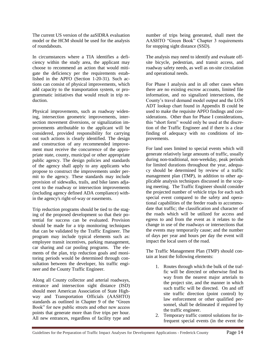The current US version of the aaSIDRA evaluation model or the HCM should be used for the analysis of roundabouts.

In circumstances where a TIA identifies a deficiency within the study area, the applicant may choose to recommend an action that would mitigate the deficiency per the requirements established in the APFO (Section 1-20-31). Such actions can consist of physical improvements, which add capacity to the transportation system, or programmatic initiatives that would result in trip reduction.

Physical improvements, such as roadway widening, intersection geometric improvements, intersection movement diversions, or signalization improvements attributable to the applicant will be considered, provided responsibility for carrying out such actions is clearly identified. The design and construction of any recommended improvement must receive the concurrence of the appropriate state, county, municipal or other appropriate public agency. The design policies and standards of the agency shall apply to any applicants who propose to construct the improvements under permit to the agency. These standards may include provision of sidewalks, trails, and bike lanes adjacent to the roadway or intersection improvements (including agency defined ADA compliance) within the agency's right-of-way or easements.

Trip reduction programs should be tied to the staging of the proposed development so that their potential for success can be evaluated. Provision should be made for a trip monitoring techniques that can be validated by the Traffic Engineer. The program may include typical elements such as: employee transit incentives, parking management, car sharing and car pooling programs. The elements of the plan, trip reduction goals and monitoring periods would be determined through consultation between the developer, his traffic engineer and the County Traffic Engineer.

Along all County collector and arterial roadways, entrance and intersection sight distance (ISD) should meet American Association of State Highway and Transportation Officials (AASHTO) standards as outlined in Chapter 9 of the "Green Book" for new public streets and other new access points that generate more than five trips per hour. All new entrances, regardless of facility type and number of trips being generated, shall meet the AASHTO "Green Book" Chapter 3 requirements for stopping sight distance (SSD).

The analysis may need to identify and evaluate offsite bicycle, pedestrian, and transit access, and roadway safety needs, as well as on-site circulation and operational needs.

For Phase I analysis and in all other cases when there are no existing escrow accounts, limited file information, and no signalized intersections, the County's travel demand model output and the LOS ADT lookup chart found in Appendix B could be used to make the requisite APFO findings and considerations. Other than for Phase I considerations, this "short form" would only be used at the discretion of the Traffic Engineer and if there is a clear finding of adequacy with no conditions of improvements.

For land uses limited to special events which will generate relatively large amounts of traffic, usually during non-traditional, non-weekday, peak periods for limited durations throughout the year, adequacy should be determined by review of a traffic management plan (TMP), in addition to other applicable analysis techniques discussed in the scoping meeting. The Traffic Engineer should consider the projected number of vehicle trips for each such special event compared to the safety and operational capabilities of the feeder roads to accommodate that traffic; the classification and character of the roads which will be utilized for access and egress to and from the event as it relates to the change in use of the roadways or intersections that the events may temporarily cause; and the number of days per year and hours per day the event will impact the local users of the road.

The Traffic Management Plan (TMP) should contain at least the following elements:

- 1. Routes through which the bulk of the traffic will be directed or otherwise find its way from the nearest major arterials to the project site, and the manner in which such traffic will be directed. On and off site traffic direction (point control) by law enforcement or other qualified personnel, shall be delineated if required by the traffic engineer.
- 2. Temporary traffic control solutions for infrequent special events (in the event the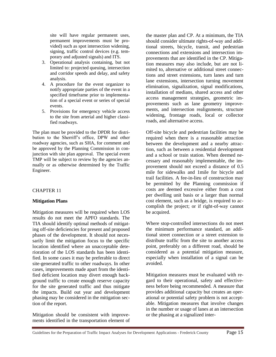site will have regular permanent uses, permanent improvements must be provided) such as spot intersection widening, signing, traffic control devices (e.g. temporary and adjusted signals) and ITS.

- 3. Operational analysis containing, but not limited to: projected queuing, intersection and corridor speeds and delay, and safety analysis.
- 4. A procedure for the event organizer to notify appropriate parties of the event in a specified timeframe prior to implementation of a special event or series of special events.
- 5. Provisions for emergency vehicle access to the site from arterial and higher classified roadways.

The plan must be provided to the DPDR for distribution to the Sherriff's office, DPW and other roadway agencies, such as SHA, for comment and be approved by the Planning Commission in conjunction with site plan approval. The special event TMP will be subject to review by the agencies annually or as otherwise determined by the Traffic Engineer.

#### CHAPTER 11

#### **Mitigation Plans**

Mitigation measures will be required when LOS results do not meet the APFO standards. The TIA should identify optimal methods of mitigating off-site deficiencies for present and proposed phases of the development. It should not necessarily limit the mitigation focus to the specific location identified where an unacceptable deterioration of the LOS standards has been identified. In some cases it may be preferable to direct site-generated traffic to other roadways. In other cases, improvements made apart from the identified deficient location may divert enough background traffic to create enough reserve capacity for the site generated traffic and thus mitigate the impacts. Build out year and development phasing may be considered in the mitigation section of the report.

Mitigation should be consistent with improvements identified in the transportation element of the master plan and CP. At a minimum, the TIA should consider ultimate rights-of-way and additional streets, bicycle, transit, and pedestrian connections and extensions and intersection improvements that are identified in the CP. Mitigation measures may also include, but are not limited to, alternative or additional street connections and street extensions, turn lanes and turn lane extensions, intersection turning movement elimination, signalization, signal modifications, installation of medians, shared access and other access management strategies, geometric improvements such as lane geometry improvements, and intersection realignments, structure widening, frontage roads, local or collector roads, and alternative access.

Off-site bicycle and pedestrian facilities may be required when there is a reasonable attraction between the development and a nearby attraction, such as between a residential development and a school or train station. When deemed necessary and reasonably implementable, the improvement should not exceed a distance of 0.5 mile for sidewalks and 1mile for bicycle and trail facilities. A fee-in-lieu of construction may be permitted by the Planning commission if costs are deemed excessive either from a cost per dwelling unit basis or a larger than normal cost element, such as a bridge, is required to accomplish the project; or if right-of-way cannot be acquired.

Where stop-controlled intersections do not meet the minimum performance standard, an additional street connection or a street extension to distribute traffic from the site to another access point, preferably on a different road, should be considered as a potential mitigation measure, especially when installation of a signal can be avoided.

Mitigation measures must be evaluated with regard to their operational, safety and effectiveness before being recommended. A measure that provides additional capacity but creates an operational or potential safety problem is not acceptable. Mitigation measures that involve changes in the number or usage of lanes at an intersection or the phasing at a signalized inter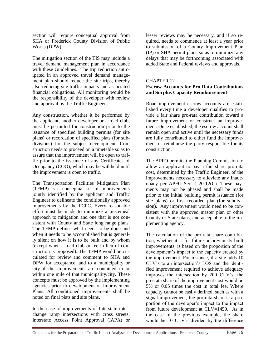section will require conceptual approval from SHA or Frederick County Division of Public Works (DPW).

The mitigation section of the TIS may include a travel demand management plan in accordance with these Guidelines. The trip reduction anticipated in an approved travel demand management plan should reduce the site trips, thereby also reducing site traffic impacts and associated financial obligations. All monitoring would be the responsibility of the developer with review and approval by the Traffic Engineer.

Any construction, whether it be performed by the applicant, another developer or a road club, must be permitted for construction prior to the issuance of specified building permits (for site plans) or recordation of specified plats (for subdivisions) for the subject development. Construction needs to proceed on a timetable so as to assure that the improvement will be open to traffic prior to the issuance of any Certificates of Occupancy (COO), which may be withheld until the improvement is open to traffic.

The Transportation Facilities Mitigation Plan (TFMP) is a conceptual set of improvements jointly identified by the applicant and Traffic Engineer to delineate the conditionally approved improvements by the FCPC. Every reasonable effort must be made to minimize a piecemeal approach to mitigation and one that is not consistent with County and State long range plans. The TFMP defines what needs to be done and when it needs to be accomplished but is generally silent on how it is to be built and by whom (except when a road club or fee in lieu of construction is proposed). The TFMP would be circulated for review and comment to SHA and DPW for acceptance, and to a municipality or city if the improvements are contained in or within one mile of that municipality/city. These concepts must be approved by the implementing agencies prior to development of Improvement Plans. All conditioned improvements shall be noted on final plats and site plans.

In the case of improvements of Interstate interchange ramp intersections with cross streets, Interstate Access Point Approval (IAPA) or lesser reviews may be necessary, and if so required, needs to commence at least a year prior to submission of a County Improvement Plan (IP) or SHA permit plans so as to minimize any delays that may be forthcoming associated with added State and Federal reviews and approvals.

#### CHAPTER 12

#### **Escrow Accounts for Pro-Rata Contributions and Surplus Capacity Reimbursement**

Road improvement escrow accounts are established every time a developer qualifies to provide a fair share pro-rata contribution toward a future improvement or construct an improvement. Once established, the escrow account shall remain open and active until the necessary funds are fully contributed to either fund the improvement or reimburse the party responsible for its construction.

The APFO permits the Planning Commission to allow an applicant to pay a fair share pro-rata cost, determined by the Traffic Engineer, of the improvements necessary to alleviate any inadequacy per APFO Sec. 1-20-12(C). These payments may not be phased and shall be made prior to the initial building permit issuance (for site plans) or first recorded plat (for subdivision). Any improvement would need to be consistent with the approved master plan or other County or State plans, and acceptable to the implementing agency.

The calculation of the pro-rata share contribution, whether it is for future or previously built improvements, is based on the proportion of the development's impact to the capacity created by the improvement. For instance, if a site adds 10 CLV's to an intersection's LOS and the identified improvement required to achieve adequacy improves the intersection by 200 CLV's, the pro-rata share of the improvement cost would be 5% or 0.05 times the cost in total fee. Where capacity cannot be easily defined, such as with a signal improvement, the pro-rata share is a proportion of the developer's impact to the impact from future development at CLV=1450. As in the case of the previous example, the share would be 10 CLV's divided by the difference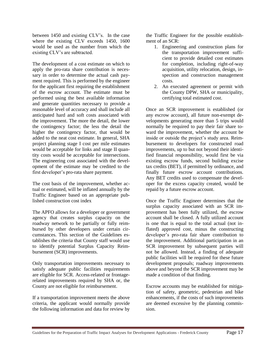between 1450 and existing CLV's. In the case where the existing CLV exceeds 1450, 1600 would be used as the number from which the existing CLV's are subtracted.

The development of a cost estimate on which to apply the pro-rata share contribution is necessary in order to determine the actual cash payment required. This is performed by the engineer for the applicant first requiring the establishment of the escrow account. The estimate must be performed using the best available information and generate quantities necessary to provide a reasonable level of accuracy and shall include all anticipated hard and soft costs associated with the improvement. The more the detail, the lower the contingency factor; the less the detail the higher the contingency factor, that would be added to the neat cost estimate. In general, SHA project planning stage I cost per mile estimates would be acceptable for links and stage II quantity costs would be acceptable for intersections. The engineering cost associated with the development of the estimate may be credited to the first developer's pro-rata share payment.

The cost basis of the improvement, whether actual or estimated, will be inflated annually by the Traffic Engineer based on an appropriate published construction cost index

The APFO allows for a developer or government agency that creates surplus capacity on the roadway network to be partially or fully reimbursed by other developers under certain circumstances. This section of the Guidelines establishes the criteria that County staff would use to identify potential Surplus Capacity Reimbursement (SCR) improvements.

Only transportation improvements necessary to satisfy adequate public facilities requirements are eligible for SCR. Access-related or frontagerelated improvements required by SHA or, the County are not eligible for reimbursement.

If a transportation improvement meets the above criteria, the applicant would normally provide the following information and data for review by the Traffic Engineer for the possible establishment of an SCR:

- 1. Engineering and construction plans for the transportation improvement sufficient to provide detailed cost estimates for completion, including right-of-way acquisition, utility relocation, design, inspection and construction management costs.
- 2. An executed agreement or permit with the County DPW, SHA or municipality, certifying total estimated cost.

Once an SCR improvement is established (or any escrow account), all future non-exempt developments generating more than 5 trips would normally be required to pay their fair share toward the improvement, whether the account be inside or outside the project's study area. Reimbursement to developers for constructed road improvements, up to but not beyond their identified financial responsibility, would first be via existing escrow funds, second building excise tax credits (BET), if permitted by ordinance, and finally future escrow account contributions. Any BET credits used to compensate the developer for the excess capacity created, would be repaid by a future escrow account.

Once the Traffic Engineer determines that the surplus capacity associated with an SCR improvement has been fully utilized, the escrow account shall be closed. A fully utilized account is one that is equal to the total actual (not inflated) approved cost, minus the constructing developer's pro-rata fair share contribution to the improvement. Additional participation in an SCR improvement by subsequent parties will not be allowed. Instead, a finding of adequate public facilities will be required for these future development proposals; roadway improvements above and beyond the SCR improvement may be made a condition of that finding.

Escrow accounts may be established for mitigation of safety, geometric, pedestrian and bike enhancements, if the costs of such improvements are deemed excessive by the planning commission.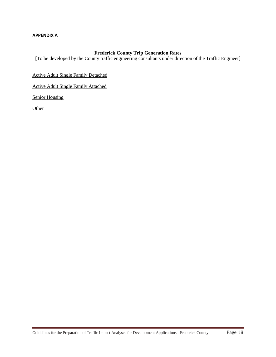#### **APPENDIX A**

#### **Frederick County Trip Generation Rates**

[To be developed by the County traffic engineering consultants under direction of the Traffic Engineer]

Active Adult Single Family Detached

Active Adult Single Family Attached

Senior Housing

**Other**